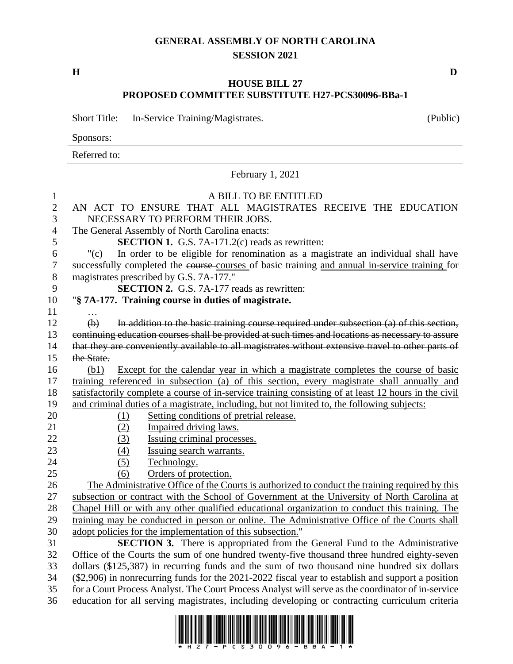## **GENERAL ASSEMBLY OF NORTH CAROLINA SESSION 2021**

**H D**

## **HOUSE BILL 27 PROPOSED COMMITTEE SUBSTITUTE H27-PCS30096-BBa-1**

Short Title: In-Service Training/Magistrates. (Public) Sponsors: Referred to: February 1, 2021 A BILL TO BE ENTITLED AN ACT TO ENSURE THAT ALL MAGISTRATES RECEIVE THE EDUCATION NECESSARY TO PERFORM THEIR JOBS. The General Assembly of North Carolina enacts: **SECTION 1.** G.S. 7A-171.2(c) reads as rewritten: "(c) In order to be eligible for renomination as a magistrate an individual shall have successfully completed the course courses of basic training and annual in-service training for magistrates prescribed by G.S. 7A-177." **SECTION 2.** G.S. 7A-177 reads as rewritten: "**§ 7A-177. Training course in duties of magistrate.** … (b) In addition to the basic training course required under subsection (a) of this section, continuing education courses shall be provided at such times and locations as necessary to assure that they are conveniently available to all magistrates without extensive travel to other parts of 15 the State. (b1) Except for the calendar year in which a magistrate completes the course of basic training referenced in subsection (a) of this section, every magistrate shall annually and satisfactorily complete a course of in-service training consisting of at least 12 hours in the civil and criminal duties of a magistrate, including, but not limited to, the following subjects: (1) Setting conditions of pretrial release. 21 (2) Impaired driving laws. 22 (3) Issuing criminal processes. (4) Issuing search warrants. 24 (5) Technology. (6) Orders of protection. The Administrative Office of the Courts is authorized to conduct the training required by this subsection or contract with the School of Government at the University of North Carolina at Chapel Hill or with any other qualified educational organization to conduct this training. The training may be conducted in person or online. The Administrative Office of the Courts shall adopt policies for the implementation of this subsection." **SECTION 3.** There is appropriated from the General Fund to the Administrative Office of the Courts the sum of one hundred twenty-five thousand three hundred eighty-seven dollars (\$125,387) in recurring funds and the sum of two thousand nine hundred six dollars (\$2,906) in nonrecurring funds for the 2021-2022 fiscal year to establish and support a position for a Court Process Analyst. The Court Process Analyst will serve as the coordinator of in-service education for all serving magistrates, including developing or contracting curriculum criteria